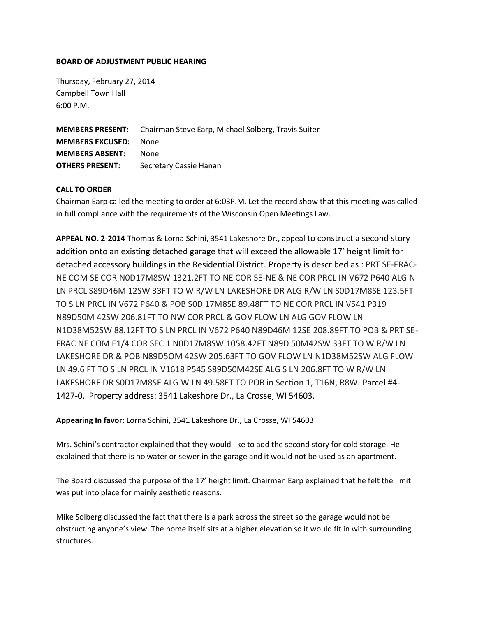## **BOARD OF ADJUSTMENT PUBLIC HEARING**

Thursday, February 27, 2014 Campbell Town Hall 6:00 P.M.

**MEMBERS PRESENT:** Chairman Steve Earp, Michael Solberg, Travis Suiter **MEMBERS EXCUSED:** None **MEMBERS ABSENT:** None **OTHERS PRESENT:** Secretary Cassie Hanan

## **CALL TO ORDER**

Chairman Earp called the meeting to order at 6:03P.M. Let the record show that this meeting was called in full compliance with the requirements of the Wisconsin Open Meetings Law.

**APPEAL NO. 2-2014** Thomas & Lorna Schini, 3541 Lakeshore Dr., appeal to construct a second story addition onto an existing detached garage that will exceed the allowable 17' height limit for detached accessory buildings in the Residential District. Property is described as : PRT SE-FRAC-NE COM SE COR N0D17M8SW 1321.2FT TO NE COR SE-NE & NE COR PRCL IN V672 P640 ALG N LN PRCL S89D46M 12SW 33FT TO W R/W LN LAKESHORE DR ALG R/W LN S0D17M8SE 123.5FT TO S LN PRCL IN V672 P640 & POB S0D 17M8SE 89.48FT TO NE COR PRCL IN V541 P319 N89D50M 42SW 206.81FT TO NW COR PRCL & GOV FLOW LN ALG GOV FLOW LN N1D38M52SW 88.12FT TO S LN PRCL IN V672 P640 N89D46M 12SE 208.89FT TO POB & PRT SE-FRAC NE COM E1/4 COR SEC 1 N0D17M8SW 1058.42FT N89D 50M42SW 33FT TO W R/W LN LAKESHORE DR & POB N89D5OM 42SW 205.63FT TO GOV FLOW LN N1D38M52SW ALG FLOW LN 49.6 FT TO S LN PRCL IN V1618 P545 S89D50M42SE ALG S LN 206.8FT TO W R/W LN LAKESHORE DR S0D17M8SE ALG W LN 49.58FT TO POB in Section 1, T16N, R8W. Parcel #4- 1427-0. Property address: 3541 Lakeshore Dr., La Crosse, WI 54603.

**Appearing In favor**: Lorna Schini, 3541 Lakeshore Dr., La Crosse, WI 54603

Mrs. Schini's contractor explained that they would like to add the second story for cold storage. He explained that there is no water or sewer in the garage and it would not be used as an apartment.

The Board discussed the purpose of the 17' height limit. Chairman Earp explained that he felt the limit was put into place for mainly aesthetic reasons.

Mike Solberg discussed the fact that there is a park across the street so the garage would not be obstructing anyone's view. The home itself sits at a higher elevation so it would fit in with surrounding structures.